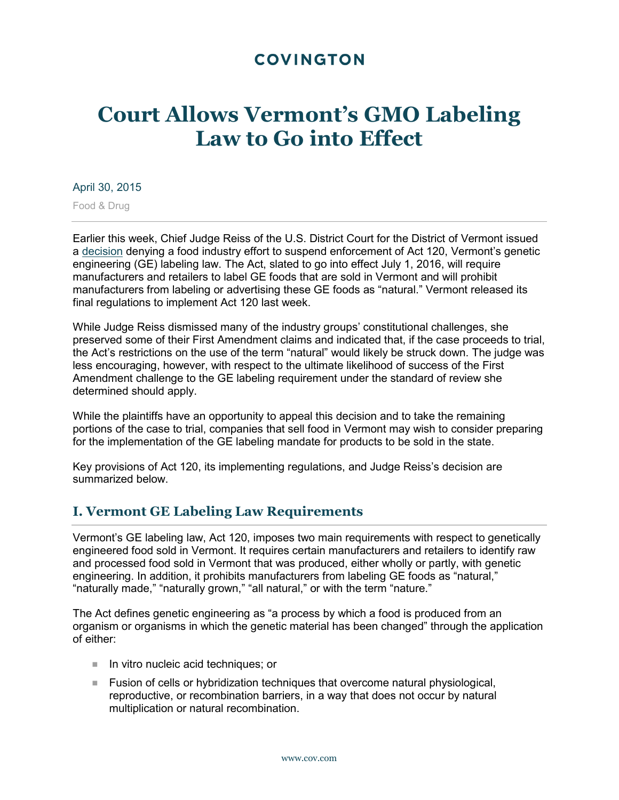# **COVINGTON**

# **Court Allows Vermont's GMO Labeling Law to Go into Effect**

#### April 30, 2015

Food & Drug

Earlier this week, Chief Judge Reiss of the U.S. District Court for the District of Vermont issued a [decision](http://www.cov.com/files/upload/Alert_inset_VT_GMO_Order.pdf) denying a food industry effort to suspend enforcement of Act 120, Vermont's genetic engineering (GE) labeling law. The Act, slated to go into effect July 1, 2016, will require manufacturers and retailers to label GE foods that are sold in Vermont and will prohibit manufacturers from labeling or advertising these GE foods as "natural." Vermont released its final regulations to implement Act 120 last week.

While Judge Reiss dismissed many of the industry groups' constitutional challenges, she preserved some of their First Amendment claims and indicated that, if the case proceeds to trial, the Act's restrictions on the use of the term "natural" would likely be struck down. The judge was less encouraging, however, with respect to the ultimate likelihood of success of the First Amendment challenge to the GE labeling requirement under the standard of review she determined should apply.

While the plaintiffs have an opportunity to appeal this decision and to take the remaining portions of the case to trial, companies that sell food in Vermont may wish to consider preparing for the implementation of the GE labeling mandate for products to be sold in the state.

Key provisions of Act 120, its implementing regulations, and Judge Reiss's decision are summarized below.

### **I. Vermont GE Labeling Law Requirements**

Vermont's GE labeling law, Act 120, imposes two main requirements with respect to genetically engineered food sold in Vermont. It requires certain manufacturers and retailers to identify raw and processed food sold in Vermont that was produced, either wholly or partly, with genetic engineering. In addition, it prohibits manufacturers from labeling GE foods as "natural," "naturally made," "naturally grown," "all natural," or with the term "nature."

The Act defines genetic engineering as "a process by which a food is produced from an organism or organisms in which the genetic material has been changed" through the application of either:

- In vitro nucleic acid techniques; or
- **Fusion of cells or hybridization techniques that overcome natural physiological,** reproductive, or recombination barriers, in a way that does not occur by natural multiplication or natural recombination.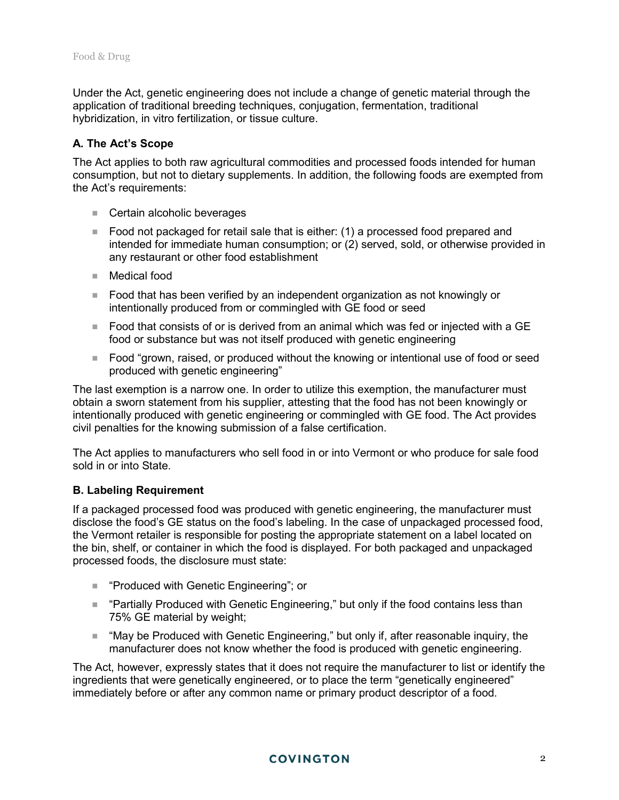Under the Act, genetic engineering does not include a change of genetic material through the application of traditional breeding techniques, conjugation, fermentation, traditional hybridization, in vitro fertilization, or tissue culture.

#### **A. The Act's Scope**

The Act applies to both raw agricultural commodities and processed foods intended for human consumption, but not to dietary supplements. In addition, the following foods are exempted from the Act's requirements:

- Certain alcoholic beverages
- Food not packaged for retail sale that is either: (1) a processed food prepared and intended for immediate human consumption; or (2) served, sold, or otherwise provided in any restaurant or other food establishment
- Medical food
- Food that has been verified by an independent organization as not knowingly or intentionally produced from or commingled with GE food or seed
- Food that consists of or is derived from an animal which was fed or injected with a  $GE$ food or substance but was not itself produced with genetic engineering
- Food "grown, raised, or produced without the knowing or intentional use of food or seed produced with genetic engineering"

The last exemption is a narrow one. In order to utilize this exemption, the manufacturer must obtain a sworn statement from his supplier, attesting that the food has not been knowingly or intentionally produced with genetic engineering or commingled with GE food. The Act provides civil penalties for the knowing submission of a false certification.

The Act applies to manufacturers who sell food in or into Vermont or who produce for sale food sold in or into State.

#### **B. Labeling Requirement**

If a packaged processed food was produced with genetic engineering, the manufacturer must disclose the food's GE status on the food's labeling. In the case of unpackaged processed food, the Vermont retailer is responsible for posting the appropriate statement on a label located on the bin, shelf, or container in which the food is displayed. For both packaged and unpackaged processed foods, the disclosure must state:

- "Produced with Genetic Engineering"; or
- "Partially Produced with Genetic Engineering," but only if the food contains less than 75% GE material by weight;
- "May be Produced with Genetic Engineering," but only if, after reasonable inquiry, the manufacturer does not know whether the food is produced with genetic engineering.

The Act, however, expressly states that it does not require the manufacturer to list or identify the ingredients that were genetically engineered, or to place the term "genetically engineered" immediately before or after any common name or primary product descriptor of a food.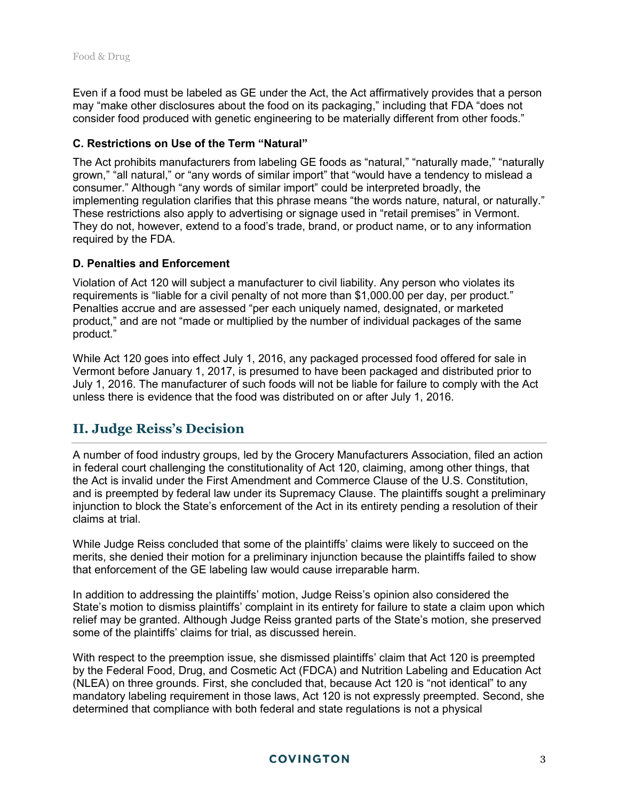Even if a food must be labeled as GE under the Act, the Act affirmatively provides that a person may "make other disclosures about the food on its packaging," including that FDA "does not consider food produced with genetic engineering to be materially different from other foods."

#### **C. Restrictions on Use of the Term "Natural"**

The Act prohibits manufacturers from labeling GE foods as "natural," "naturally made," "naturally grown," "all natural," or "any words of similar import" that "would have a tendency to mislead a consumer." Although "any words of similar import" could be interpreted broadly, the implementing regulation clarifies that this phrase means "the words nature, natural, or naturally." These restrictions also apply to advertising or signage used in "retail premises" in Vermont. They do not, however, extend to a food's trade, brand, or product name, or to any information required by the FDA.

#### **D. Penalties and Enforcement**

Violation of Act 120 will subject a manufacturer to civil liability. Any person who violates its requirements is "liable for a civil penalty of not more than \$1,000.00 per day, per product." Penalties accrue and are assessed "per each uniquely named, designated, or marketed product," and are not "made or multiplied by the number of individual packages of the same product."

While Act 120 goes into effect July 1, 2016, any packaged processed food offered for sale in Vermont before January 1, 2017, is presumed to have been packaged and distributed prior to July 1, 2016. The manufacturer of such foods will not be liable for failure to comply with the Act unless there is evidence that the food was distributed on or after July 1, 2016.

# **II. Judge Reiss's Decision**

A number of food industry groups, led by the Grocery Manufacturers Association, filed an action in federal court challenging the constitutionality of Act 120, claiming, among other things, that the Act is invalid under the First Amendment and Commerce Clause of the U.S. Constitution, and is preempted by federal law under its Supremacy Clause. The plaintiffs sought a preliminary injunction to block the State's enforcement of the Act in its entirety pending a resolution of their claims at trial.

While Judge Reiss concluded that some of the plaintiffs' claims were likely to succeed on the merits, she denied their motion for a preliminary injunction because the plaintiffs failed to show that enforcement of the GE labeling law would cause irreparable harm.

In addition to addressing the plaintiffs' motion, Judge Reiss's opinion also considered the State's motion to dismiss plaintiffs' complaint in its entirety for failure to state a claim upon which relief may be granted. Although Judge Reiss granted parts of the State's motion, she preserved some of the plaintiffs' claims for trial, as discussed herein.

With respect to the preemption issue, she dismissed plaintiffs' claim that Act 120 is preempted by the Federal Food, Drug, and Cosmetic Act (FDCA) and Nutrition Labeling and Education Act (NLEA) on three grounds. First, she concluded that, because Act 120 is "not identical" to any mandatory labeling requirement in those laws, Act 120 is not expressly preempted. Second, she determined that compliance with both federal and state regulations is not a physical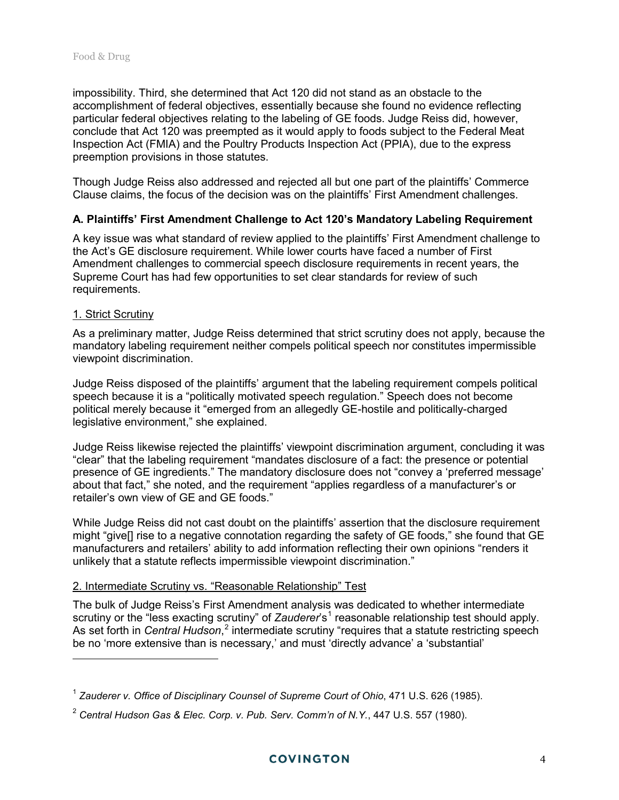impossibility. Third, she determined that Act 120 did not stand as an obstacle to the accomplishment of federal objectives, essentially because she found no evidence reflecting particular federal objectives relating to the labeling of GE foods. Judge Reiss did, however, conclude that Act 120 was preempted as it would apply to foods subject to the Federal Meat Inspection Act (FMIA) and the Poultry Products Inspection Act (PPIA), due to the express preemption provisions in those statutes.

Though Judge Reiss also addressed and rejected all but one part of the plaintiffs' Commerce Clause claims, the focus of the decision was on the plaintiffs' First Amendment challenges.

#### **A. Plaintiffs' First Amendment Challenge to Act 120's Mandatory Labeling Requirement**

A key issue was what standard of review applied to the plaintiffs' First Amendment challenge to the Act's GE disclosure requirement. While lower courts have faced a number of First Amendment challenges to commercial speech disclosure requirements in recent years, the Supreme Court has had few opportunities to set clear standards for review of such requirements.

#### 1. Strict Scrutiny

 $\overline{a}$ 

As a preliminary matter, Judge Reiss determined that strict scrutiny does not apply, because the mandatory labeling requirement neither compels political speech nor constitutes impermissible viewpoint discrimination.

Judge Reiss disposed of the plaintiffs' argument that the labeling requirement compels political speech because it is a "politically motivated speech regulation." Speech does not become political merely because it "emerged from an allegedly GE-hostile and politically-charged legislative environment," she explained.

Judge Reiss likewise rejected the plaintiffs' viewpoint discrimination argument, concluding it was "clear" that the labeling requirement "mandates disclosure of a fact: the presence or potential presence of GE ingredients." The mandatory disclosure does not "convey a 'preferred message' about that fact," she noted, and the requirement "applies regardless of a manufacturer's or retailer's own view of GE and GE foods."

While Judge Reiss did not cast doubt on the plaintiffs' assertion that the disclosure requirement might "give[] rise to a negative connotation regarding the safety of GE foods," she found that GE manufacturers and retailers' ability to add information reflecting their own opinions "renders it unlikely that a statute reflects impermissible viewpoint discrimination."

#### 2. Intermediate Scrutiny vs. "Reasonable Relationship" Test

The bulk of Judge Reiss's First Amendment analysis was dedicated to whether intermediate scrutiny or the "less exacting scrutiny" of *Zauderer*'s<sup>[1](#page-3-0)</sup> reasonable relationship test should apply. As set forth in *Central Hudson*,<sup>[2](#page-3-1)</sup> intermediate scrutiny "requires that a statute restricting speech be no 'more extensive than is necessary,' and must 'directly advance' a 'substantial'

<span id="page-3-0"></span><sup>1</sup> *Zauderer v. Office of Disciplinary Counsel of Supreme Court of Ohio*, 471 U.S. 626 (1985).

<span id="page-3-1"></span><sup>2</sup> *Central Hudson Gas & Elec. Corp. v. Pub. Serv. Comm'n of N.Y.*, 447 U.S. 557 (1980).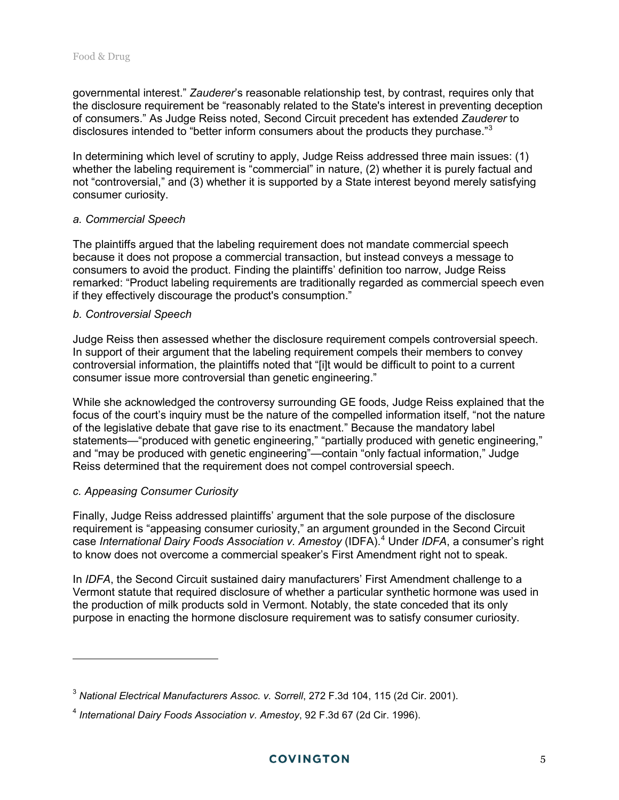governmental interest." *Zauderer*'s reasonable relationship test, by contrast, requires only that the disclosure requirement be "reasonably related to the State's interest in preventing deception of consumers." As Judge Reiss noted, Second Circuit precedent has extended *Zauderer* to disclosures intended to "better inform consumers about the products they purchase."<sup>[3](#page-4-0)</sup>

In determining which level of scrutiny to apply, Judge Reiss addressed three main issues: (1) whether the labeling requirement is "commercial" in nature, (2) whether it is purely factual and not "controversial," and (3) whether it is supported by a State interest beyond merely satisfying consumer curiosity.

#### *a. Commercial Speech*

The plaintiffs argued that the labeling requirement does not mandate commercial speech because it does not propose a commercial transaction, but instead conveys a message to consumers to avoid the product. Finding the plaintiffs' definition too narrow, Judge Reiss remarked: "Product labeling requirements are traditionally regarded as commercial speech even if they effectively discourage the product's consumption."

#### *b. Controversial Speech*

Judge Reiss then assessed whether the disclosure requirement compels controversial speech. In support of their argument that the labeling requirement compels their members to convey controversial information, the plaintiffs noted that "[i]t would be difficult to point to a current consumer issue more controversial than genetic engineering."

While she acknowledged the controversy surrounding GE foods, Judge Reiss explained that the focus of the court's inquiry must be the nature of the compelled information itself, "not the nature of the legislative debate that gave rise to its enactment." Because the mandatory label statements—"produced with genetic engineering," "partially produced with genetic engineering," and "may be produced with genetic engineering"—contain "only factual information," Judge Reiss determined that the requirement does not compel controversial speech.

#### *c. Appeasing Consumer Curiosity*

 $\overline{a}$ 

Finally, Judge Reiss addressed plaintiffs' argument that the sole purpose of the disclosure requirement is "appeasing consumer curiosity," an argument grounded in the Second Circuit case *International Dairy Foods Association v. Amestoy* (IDFA). [4](#page-4-1) Under *IDFA*, a consumer's right to know does not overcome a commercial speaker's First Amendment right not to speak.

In *IDFA*, the Second Circuit sustained dairy manufacturers' First Amendment challenge to a Vermont statute that required disclosure of whether a particular synthetic hormone was used in the production of milk products sold in Vermont. Notably, the state conceded that its only purpose in enacting the hormone disclosure requirement was to satisfy consumer curiosity.

<span id="page-4-0"></span><sup>3</sup> *National Electrical Manufacturers Assoc. v. Sorrell*, 272 F.3d 104, 115 (2d Cir. 2001).

<span id="page-4-1"></span><sup>4</sup> *International Dairy Foods Association v. Amestoy*, 92 F.3d 67 (2d Cir. 1996).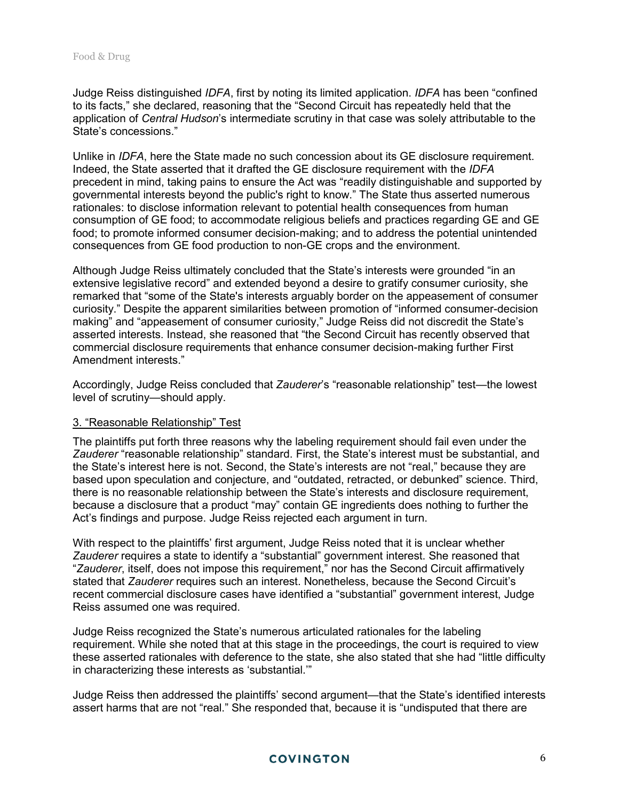Judge Reiss distinguished *IDFA*, first by noting its limited application. *IDFA* has been "confined to its facts," she declared, reasoning that the "Second Circuit has repeatedly held that the application of *Central Hudson*'s intermediate scrutiny in that case was solely attributable to the State's concessions."

Unlike in *IDFA*, here the State made no such concession about its GE disclosure requirement. Indeed, the State asserted that it drafted the GE disclosure requirement with the *IDFA* precedent in mind, taking pains to ensure the Act was "readily distinguishable and supported by governmental interests beyond the public's right to know." The State thus asserted numerous rationales: to disclose information relevant to potential health consequences from human consumption of GE food; to accommodate religious beliefs and practices regarding GE and GE food; to promote informed consumer decision-making; and to address the potential unintended consequences from GE food production to non-GE crops and the environment.

Although Judge Reiss ultimately concluded that the State's interests were grounded "in an extensive legislative record" and extended beyond a desire to gratify consumer curiosity, she remarked that "some of the State's interests arguably border on the appeasement of consumer curiosity." Despite the apparent similarities between promotion of "informed consumer-decision making" and "appeasement of consumer curiosity," Judge Reiss did not discredit the State's asserted interests. Instead, she reasoned that "the Second Circuit has recently observed that commercial disclosure requirements that enhance consumer decision-making further First Amendment interests."

Accordingly, Judge Reiss concluded that *Zauderer*'s "reasonable relationship" test—the lowest level of scrutiny—should apply.

#### 3. "Reasonable Relationship" Test

The plaintiffs put forth three reasons why the labeling requirement should fail even under the *Zauderer* "reasonable relationship" standard. First, the State's interest must be substantial, and the State's interest here is not. Second, the State's interests are not "real," because they are based upon speculation and conjecture, and "outdated, retracted, or debunked" science. Third, there is no reasonable relationship between the State's interests and disclosure requirement, because a disclosure that a product "may" contain GE ingredients does nothing to further the Act's findings and purpose. Judge Reiss rejected each argument in turn.

With respect to the plaintiffs' first argument, Judge Reiss noted that it is unclear whether *Zauderer* requires a state to identify a "substantial" government interest. She reasoned that "*Zauderer*, itself, does not impose this requirement," nor has the Second Circuit affirmatively stated that *Zauderer* requires such an interest. Nonetheless, because the Second Circuit's recent commercial disclosure cases have identified a "substantial" government interest, Judge Reiss assumed one was required.

Judge Reiss recognized the State's numerous articulated rationales for the labeling requirement. While she noted that at this stage in the proceedings, the court is required to view these asserted rationales with deference to the state, she also stated that she had "little difficulty in characterizing these interests as 'substantial.'"

Judge Reiss then addressed the plaintiffs' second argument—that the State's identified interests assert harms that are not "real." She responded that, because it is "undisputed that there are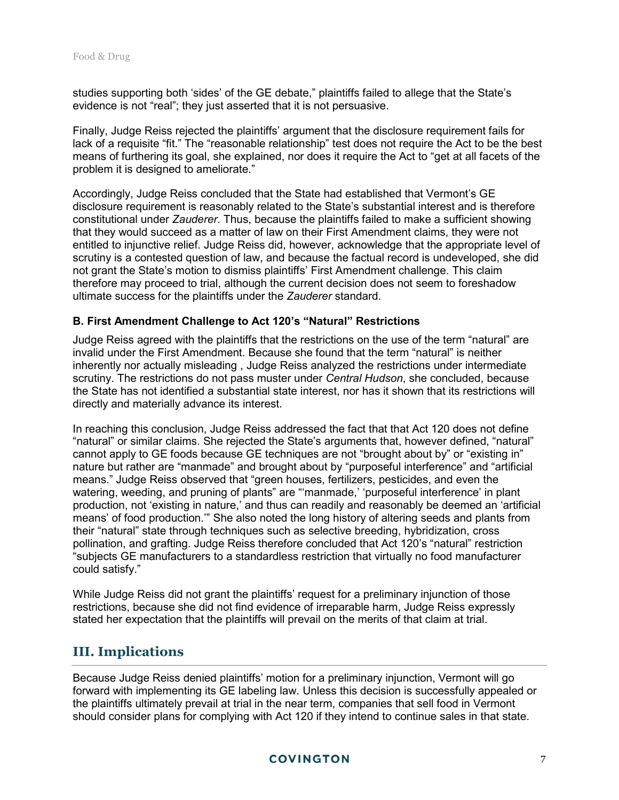studies supporting both 'sides' of the GE debate," plaintiffs failed to allege that the State's evidence is not "real"; they just asserted that it is not persuasive.

Finally, Judge Reiss rejected the plaintiffs' argument that the disclosure requirement fails for lack of a requisite "fit." The "reasonable relationship" test does not require the Act to be the best means of furthering its goal, she explained, nor does it require the Act to "get at all facets of the problem it is designed to ameliorate."

Accordingly, Judge Reiss concluded that the State had established that Vermont's GE disclosure requirement is reasonably related to the State's substantial interest and is therefore constitutional under *Zauderer*. Thus, because the plaintiffs failed to make a sufficient showing that they would succeed as a matter of law on their First Amendment claims, they were not entitled to injunctive relief. Judge Reiss did, however, acknowledge that the appropriate level of scrutiny is a contested question of law, and because the factual record is undeveloped, she did not grant the State's motion to dismiss plaintiffs' First Amendment challenge. This claim therefore may proceed to trial, although the current decision does not seem to foreshadow ultimate success for the plaintiffs under the *Zauderer* standard.

#### **B. First Amendment Challenge to Act 120's "Natural" Restrictions**

Judge Reiss agreed with the plaintiffs that the restrictions on the use of the term "natural" are invalid under the First Amendment. Because she found that the term "natural" is neither inherently nor actually misleading , Judge Reiss analyzed the restrictions under intermediate scrutiny. The restrictions do not pass muster under *Central Hudson*, she concluded, because the State has not identified a substantial state interest, nor has it shown that its restrictions will directly and materially advance its interest.

In reaching this conclusion, Judge Reiss addressed the fact that that Act 120 does not define "natural" or similar claims. She rejected the State's arguments that, however defined, "natural" cannot apply to GE foods because GE techniques are not "brought about by" or "existing in" nature but rather are "manmade" and brought about by "purposeful interference" and "artificial means." Judge Reiss observed that "green houses, fertilizers, pesticides, and even the watering, weeding, and pruning of plants" are "'manmade,' 'purposeful interference' in plant production, not 'existing in nature,' and thus can readily and reasonably be deemed an 'artificial means' of food production.'" She also noted the long history of altering seeds and plants from their "natural" state through techniques such as selective breeding, hybridization, cross pollination, and grafting. Judge Reiss therefore concluded that Act 120's "natural" restriction "subjects GE manufacturers to a standardless restriction that virtually no food manufacturer could satisfy."

While Judge Reiss did not grant the plaintiffs' request for a preliminary injunction of those restrictions, because she did not find evidence of irreparable harm, Judge Reiss expressly stated her expectation that the plaintiffs will prevail on the merits of that claim at trial.

## **III. Implications**

Because Judge Reiss denied plaintiffs' motion for a preliminary injunction, Vermont will go forward with implementing its GE labeling law. Unless this decision is successfully appealed or the plaintiffs ultimately prevail at trial in the near term, companies that sell food in Vermont should consider plans for complying with Act 120 if they intend to continue sales in that state.